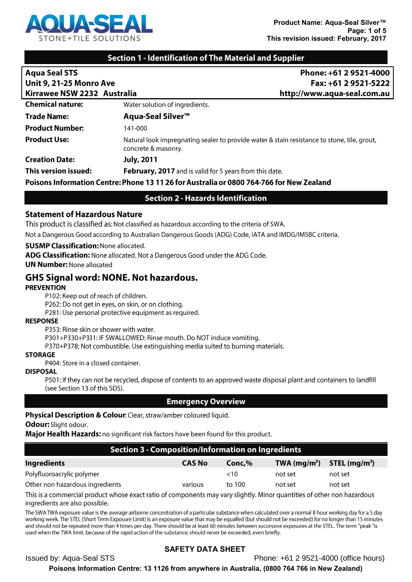

## **Section 1 - Identification of The Material and Supplier**

| <b>Aqua Seal STS</b>                                                                     | Phone: +61 2 9521-4000                                                                                             |  |
|------------------------------------------------------------------------------------------|--------------------------------------------------------------------------------------------------------------------|--|
| Unit 9, 21-25 Monro Ave                                                                  | Fax: +61 2 9521-5222                                                                                               |  |
| Kirrawee NSW 2232 Australia                                                              | http://www.aqua-seal.com.au                                                                                        |  |
| <b>Chemical nature:</b>                                                                  | Water solution of ingredients.                                                                                     |  |
| <b>Trade Name:</b>                                                                       | <b>Aqua-Seal Silver™</b>                                                                                           |  |
| <b>Product Number:</b>                                                                   | 141-000                                                                                                            |  |
| <b>Product Use:</b>                                                                      | Natural look impregnating sealer to provide water & stain resistance to stone, tile, grout,<br>concrete & masonry. |  |
| <b>Creation Date:</b>                                                                    | <b>July, 2011</b>                                                                                                  |  |
| This version issued:                                                                     | February, 2017 and is valid for 5 years from this date.                                                            |  |
| Poisons Information Centre: Phone 13 11 26 for Australia or 0800 764-766 for New Zealand |                                                                                                                    |  |

# **Section 2 - Hazards Identification**

#### **Statement of Hazardous Nature**

This product is classified as: Not classified as hazardous according to the criteria of SWA.

Not a Dangerous Good according to Australian Dangerous Goods (ADG) Code, IATA and IMDG/IMSBC criteria.

#### **SUSMP Classification: None allocated.**

ADG Classification: None allocated. Not a Dangerous Good under the ADG Code.

**UN Number: None allocated** 

# **GHS Signal word: NONE. Not hazardous.**

#### **PREVENTION**

P102: Keep out of reach of children.

P262: Do not get in eyes, on skin, or on clothing.

P281: Use personal protective equipment as required.

#### **RESPONSE**

P353: Rinse skin or shower with water.

P301+P330+P331: IF SWALLOWED: Rinse mouth. Do NOT induce vomiting.

P370+P378: Not combustible. Use extinguishing media suited to burning materials.

#### **STORAGE**

P404: Store in a closed container.

#### **DISPOSAL**

P501: If they can not be recycled, dispose of contents to an approved waste disposal plant and containers to landfill (see Section 13 of this SDS).

### **Emergency Overview**

### **Physical Description & Colour:** Clear, straw/amber coloured liquid.

# Odour: Slight odour.

Major Health Hazards: no significant risk factors have been found for this product.

| Section 3 - Composition/Information on Ingredients |               |           |               |                |  |
|----------------------------------------------------|---------------|-----------|---------------|----------------|--|
| <b>Ingredients</b>                                 | <b>CAS No</b> | Conc, $%$ | TWA $(mg/m3)$ | STEL $(mg/m3)$ |  |
| Polyfluoroacrylic polymer                          |               | $<$ 10    | not set       | not set        |  |
| Other non hazardous ingredients                    | various       | to 100    | not set       | not set        |  |
|                                                    |               |           |               |                |  |

This is a commercial product whose exact ratio of components may vary slightly. Minor quantities of other non hazardous ingredients are also possible.

The SWA TWA exposure value is the average airborne concentration of a particular substance when calculated over a normal 8 hour working day for a 5 day working week. The STEL (Short Term Exposure Limit) is an exposure value that may be equalled (but should not be exceeded) for no longer than 15 minutes and should not be repeated more than 4 times per day. There should be at least 60 minutes between successive exposures at the STEL. The term "peak "is used when the TWA limit, because of the rapid action of the substance, should never be exceeded, even briefly.

# **SAFETY DATA SHEET**

**Issued by: Aqua-Seal STS** 

Phone: +61 2 9521-4000 (office hours)

Poisons Information Centre: 13 1126 from anywhere in Australia, (0800 764 766 in New Zealand)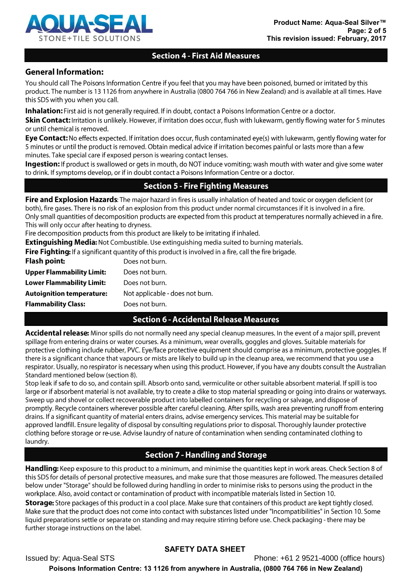

# **Section 4 - First Aid Measures**

# **General Information:**

You should call The Poisons Information Centre if you feel that you may have been poisoned, burned or irritated by this product. The number is 13 1126 from anywhere in Australia (0800 764 766 in New Zealand) and is available at all times. Have this SDS with you when you call.

**Inhalation:** First aid is not generally required. If in doubt, contact a Poisons Information Centre or a doctor.

Skin Contact: Irritation is unlikely. However, if irritation does occur, flush with lukewarm, gently flowing water for 5 minutes or until chemical is removed.

Eye Contact: No effects expected. If irritation does occur, flush contaminated eye(s) with lukewarm, gently flowing water for 5 minutes or until the product is removed. Obtain medical advice if irritation becomes painful or lasts more than a few minutes. Take special care if exposed person is wearing contact lenses.

Ingestion: If product is swallowed or gets in mouth, do NOT induce vomiting; wash mouth with water and give some water to drink. If symptoms develop, or if in doubt contact a Poisons Information Centre or a doctor.

# **Section 5 - Fire Fighting Measures**

Fire and Explosion Hazards: The major hazard in fires is usually inhalation of heated and toxic or oxygen deficient (or both), fire gases. There is no risk of an explosion from this product under normal circumstances if it is involved in a fire. Only small quantities of decomposition products are expected from this product at temperatures normally achieved in a fire. This will only occur after heating to dryness.

Fire decomposition products from this product are likely to be irritating if inhaled.

**Extinguishing Media:** Not Combustible. Use extinguishing media suited to burning materials.

Fire Fighting: If a significant quantity of this product is involved in a fire, call the fire brigade.

| <b>Flash point:</b>              | Does not burn.                  |
|----------------------------------|---------------------------------|
| <b>Upper Flammability Limit:</b> | Does not burn.                  |
| <b>Lower Flammability Limit:</b> | Does not burn.                  |
| <b>Autoignition temperature:</b> | Not applicable - does not burn. |
| <b>Flammability Class:</b>       | Does not burn.                  |
|                                  |                                 |

# **Section 6 - Accidental Release Measures**

Accidental release: Minor spills do not normally need any special cleanup measures. In the event of a major spill, prevent spillage from entering drains or water courses. As a minimum, wear overalls, goggles and gloves. Suitable materials for protective clothing include rubber, PVC. Eye/face protective equipment should comprise as a minimum, protective goggles. If there is a significant chance that vapours or mists are likely to build up in the cleanup area, we recommend that you use a respirator. Usually, no respirator is necessary when using this product. However, if you have any doubts consult the Australian Standard mentioned below (section 8).

Stop leak if safe to do so, and contain spill. Absorb onto sand, vermiculite or other suitable absorbent material. If spill is too large or if absorbent material is not available, try to create a dike to stop material spreading or going into drains or waterways. Sweep up and shovel or collect recoverable product into labelled containers for recycling or salvage, and dispose of promptly. Recycle containers wherever possible after careful cleaning. After spills, wash area preventing runoff from entering drains. If a significant quantity of material enters drains, advise emergency services. This material may be suitable for approved landfill. Ensure legality of disposal by consulting regulations prior to disposal. Thoroughly launder protective clothing before storage or re-use. Advise laundry of nature of contamination when sending contaminated clothing to laundry.

# **Section 7 - Handling and Storage**

Handling: Keep exposure to this product to a minimum, and minimise the quantities kept in work areas. Check Section 8 of this SDS for details of personal protective measures, and make sure that those measures are followed. The measures detailed below under "Storage" should be followed during handling in order to minimise risks to persons using the product in the workplace. Also, avoid contact or contamination of product with incompatible materials listed in Section 10.

**Storage:** Store packages of this product in a cool place. Make sure that containers of this product are kept tightly closed. Make sure that the product does not come into contact with substances listed under "Incompatibilities" in Section 10. Some liquid preparations settle or separate on standing and may require stirring before use. Check packaging - there may be further storage instructions on the label.

# **SAFETY DATA SHEET**

Phone: +61 2 9521-4000 (office hours) **Issued by: Aqua-Seal STS** Poisons Information Centre: 13 1126 from anywhere in Australia, (0800 764 766 in New Zealand)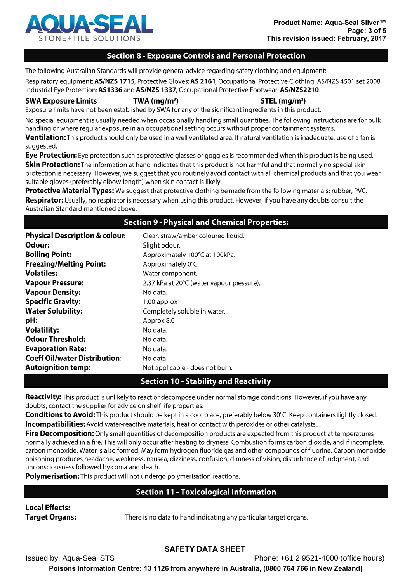

### **Section 8 - Exposure Controls and Personal Protection**

The following Australian Standards will provide general advice regarding safety clothing and equipment:

Respiratory equipment: AS/NZS 1715, Protective Gloves: AS 2161, Occupational Protective Clothing: AS/NZS 4501 set 2008, Industrial Eye Protection: AS1336 and AS/NZS 1337, Occupational Protective Footwear: AS/NZS2210.

**SWA Exposure Limits** 

 $STEL$  (mg/m<sup>3</sup>)

Exposure limits have not been established by SWA for any of the significant ingredients in this product.

 $TWA$  (mg/m<sup>3</sup>)

No special equipment is usually needed when occasionally handling small quantities. The following instructions are for bulk handling or where regular exposure in an occupational setting occurs without proper containment systems.

Ventilation: This product should only be used in a well ventilated area. If natural ventilation is inadequate, use of a fan is suggested.

Eye Protection: Eye protection such as protective glasses or goggles is recommended when this product is being used. Skin Protection: The information at hand indicates that this product is not harmful and that normally no special skin protection is necessary. However, we suggest that you routinely avoid contact with all chemical products and that you wear suitable gloves (preferably elbow-length) when skin contact is likely.

Protective Material Types: We suggest that protective clothing be made from the following materials: rubber, PVC. Respirator: Usually, no respirator is necessary when using this product. However, if you have any doubts consult the Australian Standard mentioned above.

### **Section 9 - Physical and Chemical Properties:**

| <b>Physical Description &amp; colour:</b> | Clear, straw/amber coloured liquid.       |
|-------------------------------------------|-------------------------------------------|
| Odour:                                    | Slight odour.                             |
| <b>Boiling Point:</b>                     | Approximately 100°C at 100kPa.            |
| <b>Freezing/Melting Point:</b>            | Approximately 0°C.                        |
| <b>Volatiles:</b>                         | Water component.                          |
| <b>Vapour Pressure:</b>                   | 2.37 kPa at 20°C (water vapour pressure). |
| <b>Vapour Density:</b>                    | No data.                                  |
| <b>Specific Gravity:</b>                  | 1.00 approx                               |
| <b>Water Solubility:</b>                  | Completely soluble in water.              |
| pH:                                       | Approx 8.0                                |
| <b>Volatility:</b>                        | No data.                                  |
| <b>Odour Threshold:</b>                   | No data.                                  |
| <b>Evaporation Rate:</b>                  | No data.                                  |
| <b>Coeff Oil/water Distribution:</b>      | No data                                   |
| <b>Autoignition temp:</b>                 | Not applicable - does not burn.           |

# **Section 10 - Stability and Reactivity**

Reactivity: This product is unlikely to react or decompose under normal storage conditions. However, if you have any doubts, contact the supplier for advice on shelf life properties.

Conditions to Avoid: This product should be kept in a cool place, preferably below 30°C. Keep containers tightly closed. **Incompatibilities:** Avoid water-reactive materials, heat or contact with peroxides or other catalysts..

Fire Decomposition: Only small quantities of decomposition products are expected from this product at temperatures normally achieved in a fire. This will only occur after heating to dryness. Combustion forms carbon dioxide, and if incomplete, carbon monoxide. Water is also formed. May form hydrogen fluoride gas and other compounds of fluorine. Carbon monoxide poisoning produces headache, weakness, nausea, dizziness, confusion, dimness of vision, disturbance of judgment, and unconsciousness followed by coma and death.

Polymerisation: This product will not undergo polymerisation reactions.

# **Section 11 - Toxicological Information**

#### **Local Effects: Target Organs:**

There is no data to hand indicating any particular target organs.

# **SAFETY DATA SHEET**

**Issued by: Aqua-Seal STS** Phone: +61 2 9521-4000 (office hours) Poisons Information Centre: 13 1126 from anywhere in Australia, (0800 764 766 in New Zealand)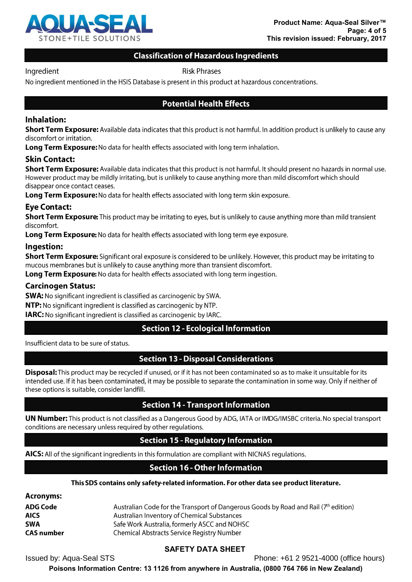

# **Classification of Hazardous Ingredients**

Ingredient

**Risk Phrases** 

No ingredient mentioned in the HSIS Database is present in this product at hazardous concentrations.

## **Potential Health Effects**

### **Inhalation:**

**Short Term Exposure:** Available data indicates that this product is not harmful. In addition product is unlikely to cause any discomfort or irritation.

Long Term Exposure: No data for health effects associated with long term inhalation.

### **Skin Contact:**

**Short Term Exposure:** Available data indicates that this product is not harmful. It should present no hazards in normal use. However product may be mildly irritating, but is unlikely to cause anything more than mild discomfort which should disappear once contact ceases.

Long Term Exposure: No data for health effects associated with long term skin exposure.

### **Eye Contact:**

**Short Term Exposure:** This product may be irritating to eyes, but is unlikely to cause anything more than mild transient discomfort.

Long Term Exposure: No data for health effects associated with long term eye exposure.

#### Ingestion:

Short Term Exposure: Significant oral exposure is considered to be unlikely. However, this product may be irritating to mucous membranes but is unlikely to cause anything more than transient discomfort.

Long Term Exposure: No data for health effects associated with long term ingestion.

#### **Carcinogen Status:**

**SWA:** No significant ingredient is classified as carcinogenic by SWA.

NTP: No significant ingredient is classified as carcinogenic by NTP.

**IARC:** No significant ingredient is classified as carcinogenic by IARC.

### **Section 12 - Ecological Information**

Insufficient data to be sure of status.

# **Section 13 - Disposal Considerations**

**Disposal:** This product may be recycled if unused, or if it has not been contaminated so as to make it unsuitable for its intended use. If it has been contaminated, it may be possible to separate the contamination in some way. Only if neither of these options is suitable, consider landfill.

### **Section 14 - Transport Information**

**UN Number:** This product is not classified as a Dangerous Good by ADG, IATA or IMDG/IMSBC criteria. No special transport conditions are necessary unless required by other regulations.

# **Section 15 - Regulatory Information**

AICS: All of the significant ingredients in this formulation are compliant with NICNAS regulations.

# **Section 16 - Other Information**

#### This SDS contains only safety-related information. For other data see product literature.

| <b>Acronyms:</b>  |                                                                                       |
|-------------------|---------------------------------------------------------------------------------------|
| ADG Code          | Australian Code for the Transport of Dangerous Goods by Road and Rail $(7th$ edition) |
| <b>AICS</b>       | Australian Inventory of Chemical Substances                                           |
| <b>SWA</b>        | Safe Work Australia, formerly ASCC and NOHSC                                          |
| <b>CAS number</b> | Chemical Abstracts Service Registry Number                                            |

# **SAFETY DATA SHEET**

**Issued by: Aqua-Seal STS** 

Phone: +61 2 9521-4000 (office hours)

Poisons Information Centre: 13 1126 from anywhere in Australia, (0800 764 766 in New Zealand)